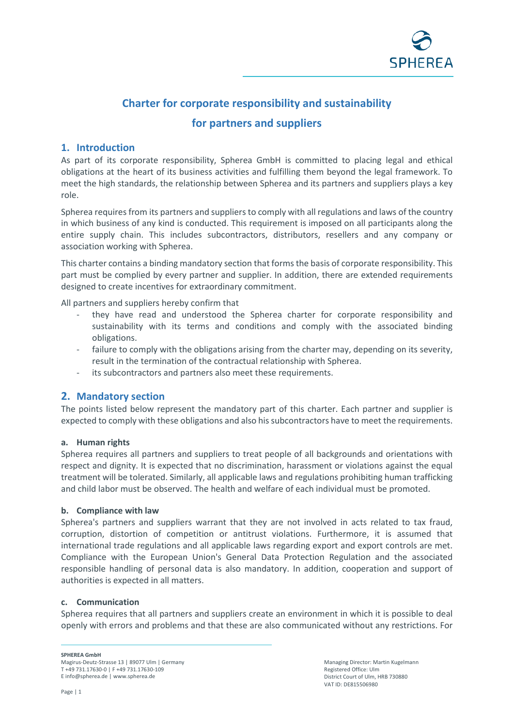

# **Charter for corporate responsibility and sustainability**

## **for partners and suppliers**

### **1. Introduction**

As part of its corporate responsibility, Spherea GmbH is committed to placing legal and ethical obligations at the heart of its business activities and fulfilling them beyond the legal framework. To meet the high standards, the relationship between Spherea and its partners and suppliers plays a key role.

Spherea requires from its partners and suppliers to comply with all regulations and laws of the country in which business of any kind is conducted. This requirement is imposed on all participants along the entire supply chain. This includes subcontractors, distributors, resellers and any company or association working with Spherea.

This charter contains a binding mandatory section that forms the basis of corporate responsibility. This part must be complied by every partner and supplier. In addition, there are extended requirements designed to create incentives for extraordinary commitment.

All partners and suppliers hereby confirm that

- they have read and understood the Spherea charter for corporate responsibility and sustainability with its terms and conditions and comply with the associated binding obligations.
- failure to comply with the obligations arising from the charter may, depending on its severity, result in the termination of the contractual relationship with Spherea.
- its subcontractors and partners also meet these requirements.

### **2. Mandatory section**

The points listed below represent the mandatory part of this charter. Each partner and supplier is expected to comply with these obligations and also his subcontractors have to meet the requirements.

### **a. Human rights**

Spherea requires all partners and suppliers to treat people of all backgrounds and orientations with respect and dignity. It is expected that no discrimination, harassment or violations against the equal treatment will be tolerated. Similarly, all applicable laws and regulations prohibiting human trafficking and child labor must be observed. The health and welfare of each individual must be promoted.

### **b. Compliance with law**

Spherea's partners and suppliers warrant that they are not involved in acts related to tax fraud, corruption, distortion of competition or antitrust violations. Furthermore, it is assumed that international trade regulations and all applicable laws regarding export and export controls are met. Compliance with the European Union's General Data Protection Regulation and the associated responsible handling of personal data is also mandatory. In addition, cooperation and support of authorities is expected in all matters.

### **c. Communication**

Spherea requires that all partners and suppliers create an environment in which it is possible to deal openly with errors and problems and that these are also communicated without any restrictions. For

**SPHEREA GmbH** 

Magirus-Deutz-Strasse 13 | 89077 Ulm | Germany T +49 731.17630-0 | F +49 731.17630-109 E info@spherea.de | www.spherea.de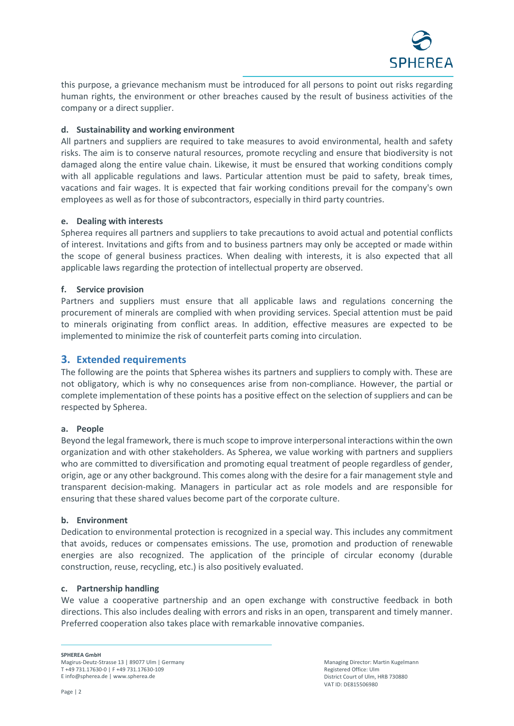

this purpose, a grievance mechanism must be introduced for all persons to point out risks regarding human rights, the environment or other breaches caused by the result of business activities of the company or a direct supplier.

### **d. Sustainability and working environment**

All partners and suppliers are required to take measures to avoid environmental, health and safety risks. The aim is to conserve natural resources, promote recycling and ensure that biodiversity is not damaged along the entire value chain. Likewise, it must be ensured that working conditions comply with all applicable regulations and laws. Particular attention must be paid to safety, break times, vacations and fair wages. It is expected that fair working conditions prevail for the company's own employees as well as for those of subcontractors, especially in third party countries.

### **e. Dealing with interests**

Spherea requires all partners and suppliers to take precautions to avoid actual and potential conflicts of interest. Invitations and gifts from and to business partners may only be accepted or made within the scope of general business practices. When dealing with interests, it is also expected that all applicable laws regarding the protection of intellectual property are observed.

### **f. Service provision**

Partners and suppliers must ensure that all applicable laws and regulations concerning the procurement of minerals are complied with when providing services. Special attention must be paid to minerals originating from conflict areas. In addition, effective measures are expected to be implemented to minimize the risk of counterfeit parts coming into circulation.

### **3. Extended requirements**

The following are the points that Spherea wishes its partners and suppliers to comply with. These are not obligatory, which is why no consequences arise from non-compliance. However, the partial or complete implementation of these points has a positive effect on the selection of suppliers and can be respected by Spherea.

### **a. People**

Beyond the legal framework, there is much scope to improve interpersonal interactions within the own organization and with other stakeholders. As Spherea, we value working with partners and suppliers who are committed to diversification and promoting equal treatment of people regardless of gender, origin, age or any other background. This comes along with the desire for a fair management style and transparent decision-making. Managers in particular act as role models and are responsible for ensuring that these shared values become part of the corporate culture.

### **b. Environment**

Dedication to environmental protection is recognized in a special way. This includes any commitment that avoids, reduces or compensates emissions. The use, promotion and production of renewable energies are also recognized. The application of the principle of circular economy (durable construction, reuse, recycling, etc.) is also positively evaluated.

### **c. Partnership handling**

We value a cooperative partnership and an open exchange with constructive feedback in both directions. This also includes dealing with errors and risks in an open, transparent and timely manner. Preferred cooperation also takes place with remarkable innovative companies.

**SPHEREA GmbH** 

Magirus-Deutz-Strasse 13 | 89077 Ulm | Germany T +49 731.17630-0 | F +49 731.17630-109 E info@spherea.de | www.spherea.de